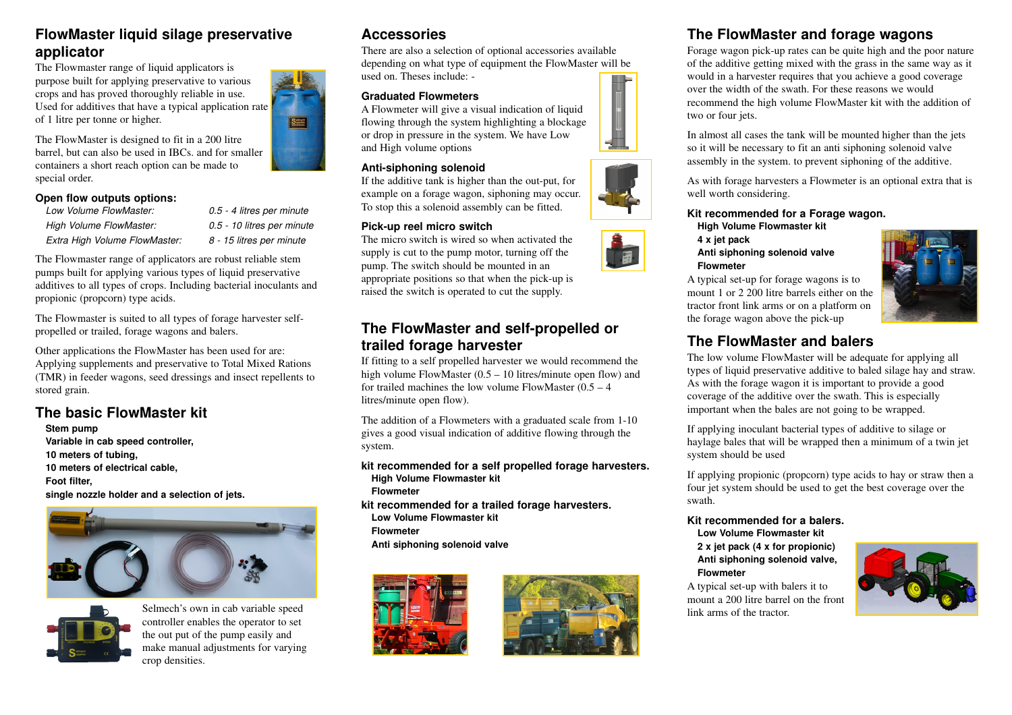### **FlowMaster liquid silage preservativeapplicator**

 The Flowmaster range of liquid applicators is purpose built for applying preservative to various crops and has proved thoroughly reliable in use. Used for additives that have a typical application rateof 1 litre per tonne or higher.

The FlowMaster is designed to fit in a 200 litre barrel, but can also be used in IBCs. and for smallercontainers a short reach option can be made tospecial order.

#### **Open flow outputs options:**

| Low Volume FlowMaster:        | 0.5 - 4 litres per minute  |
|-------------------------------|----------------------------|
| High Volume FlowMaster:       | 0.5 - 10 litres per minute |
| Extra High Volume FlowMaster: | 8 - 15 litres per minute   |

The Flowmaster range of applicators are robust reliable stem pumps built for applying various types of liquid preservative additives to all types of crops. Including bacterial inoculants andpropionic (propcorn) type acids.

The Flowmaster is suited to all types of forage harvester selfpropelled or trailed, forage wagons and balers.

Other applications the FlowMaster has been used for are: Applying supplements and preservative to Total Mixed Rations (TMR) in feeder wagons, seed dressings and insect repellents tostored grain.

# **The basic FlowMaster kit**

**Stem pump Variable in cab speed controller, 10 meters of tubing, 10 meters of electrical cable,Foot filter, single nozzle holder and a selection of jets.** 





 Selmech's own in cab variable speed controller enables the operator to setthe out put of the pump easily and make manual adjustments for varyingcrop densities.

# **Accessories**

Supplies

 There are also a selection of optional accessories available depending on what type of equipment the FlowMaster will beused on. Theses include: -

#### **Graduated Flowmeters**

 A Flowmeter will give a visual indication of liquid flowing through the system highlighting a blockageor drop in pressure in the system. We have Lowand High volume options

#### **Anti-siphoning solenoid**

 If the additive tank is higher than the out-put, for example on a forage wagon, siphoning may occur.To stop this a solenoid assembly can be fitted.

#### **Pick-up reel micro switch**

 The micro switch is wired so when activated the supply is cut to the pump motor, turning off thepump. The switch should be mounted in an appropriate positions so that when the pick-up israised the switch is operated to cut the supply.

### **The FlowMaster and self-propelled ortrailed forage harvester**

 If fitting to a self propelled harvester we would recommend thehigh volume FlowMaster  $(0.5 - 10)$  litres/minute open flow) and for trailed machines the low volume FlowMaster  $(0.5 - 4)$ litres/minute open flow).

The addition of a Flowmeters with a graduated scale from 1-10 gives a good visual indication of additive flowing through thesystem.

#### **kit recommended for a self propelled forage harvesters.High Volume Flowmaster kit**

- **Flowmeter**
- **kit recommended for a trailed forage harvesters.Low Volume Flowmaster kit FlowmeterAnti siphoning solenoid valve**





### **The FlowMaster and forage wagons**

 Forage wagon pick-up rates can be quite high and the poor nature of the additive getting mixed with the grass in the same way as itwould in a harvester requires that you achieve a good coverageover the width of the swath. For these reasons we would recommend the high volume FlowMaster kit with the addition oftwo or four jets.

In almost all cases the tank will be mounted higher than the jetsso it will be necessary to fit an anti siphoning solenoid valveassembly in the system. to prevent siphoning of the additive.

As with forage harvesters a Flowmeter is an optional extra that iswell worth considering.

#### **Kit recommended for a Forage wagon.**

- **High Volume Flowmaster kit**
- **4 x jet pack**

#### **Anti siphoning solenoid valveFlowmeter**

A typical set-up for forage wagons is to mount 1 or 2 200 litre barrels either on the tractor front link arms or on a platform onthe forage wagon above the pick-up



# **The FlowMaster and balers**

 The low volume FlowMaster will be adequate for applying all types of liquid preservative additive to baled silage hay and straw.As with the forage wagon it is important to provide a good coverage of the additive over the swath. This is especiallyimportant when the bales are not going to be wrapped.

If applying inoculant bacterial types of additive to silage or haylage bales that will be wrapped then a minimum of a twin jetsystem should be used

If applying propionic (propcorn) type acids to hay or straw then afour jet system should be used to get the best coverage over theswath.

#### **Kit recommended for a balers.Low Volume Flowmaster kit**

**2 x jet pack (4 x for propionic) Anti siphoning solenoid valve,Flowmeter**

 A typical set-up with balers it to mount a 200 litre barrel on the frontlink arms of the tractor.